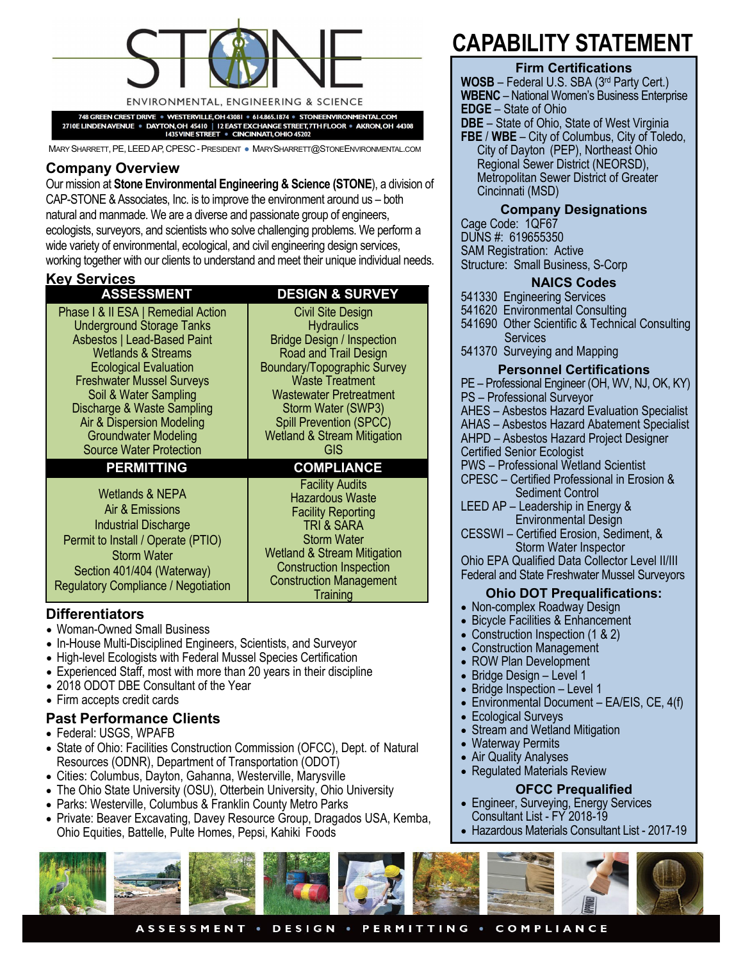

748 GREEN CREST DRIVE · WESTERVILLE, OH 43081 · 614.865.1874 · STONEENVIRONMENTAL.CO

2710E LINDEN AVENUE · DAYTON, OH 45410 | 12 EAST EXCHANGE STREET, TTH FLOOR · AKRON, OH 44308<br>1435 VINE STREET · CINCINNATI, OHIO 45202

MARY SHARRETT, PE, LEED AP, CPESC - PRESIDENT · MARYSHARRETT@STONEENVIRONMENTAL.COM

# **Company Overview**

Our mission at **Stone Environmental Engineering & Science (STONE**), a division of CAP-STONE & Associates, Inc. is to improve the environment around us – both natural and manmade. We are a diverse and passionate group of engineers, ecologists, surveyors, and scientists who solve challenging problems. We perform a wide variety of environmental, ecological, and civil engineering design services, working together with our clients to understand and meet their unique individual needs.

# **Key Services**

### **ASSESSMENT DESIGN & SURVEY**  Civil Site Design

**Hydraulics** Bridge Design / Inspection Road and Trail Design Boundary/Topographic Survey Waste Treatment Wastewater Pretreatment Storm Water (SWP3) Spill Prevention (SPCC) Wetland & Stream Mitigation GIS

Facility Audits Hazardous Waste Facility Reporting TRI & SARA Storm Water Wetland & Stream Mitigation Construction Inspection Construction Management **Training** 

Phase I & II ESA | Remedial Action Underground Storage Tanks Asbestos | Lead-Based Paint Wetlands & Streams Ecological Evaluation Freshwater Mussel Surveys Soil & Water Sampling Discharge & Waste Sampling Air & Dispersion Modeling Groundwater Modeling Source Water Protection

# **PERMITTING COMPLIANCE**

Wetlands & NEPA Air & Emissions Industrial Discharge Permit to Install / Operate (PTIO) Storm Water Section 401/404 (Waterway) Regulatory Compliance / Negotiation

# **Differentiators**

- Woman-Owned Small Business
- In-House Multi-Disciplined Engineers, Scientists, and Surveyor
- High-level Ecologists with Federal Mussel Species Certification
- Experienced Staff, most with more than 20 years in their discipline
- 2018 ODOT DBE Consultant of the Year
- Firm accepts credit cards
- **Past Performance Clients**
- Federal: USGS, WPAFB
- State of Ohio: Facilities Construction Commission (OFCC), Dept. of Natural Resources (ODNR), Department of Transportation (ODOT)
- Cities: Columbus, Dayton, Gahanna, Westerville, Marysville
- The Ohio State University (OSU), Otterbein University, Ohio University
- Parks: Westerville, Columbus & Franklin County Metro Parks
- Private: Beaver Excavating, Davey Resource Group, Dragados USA, Kemba, Ohio Equities, Battelle, Pulte Homes, Pepsi, Kahiki Foods

# **CAPABILITY STATEMENT**

#### **Firm Certifications**

**WOSB** – Federal U.S. SBA (3rd Party Cert.) **WBENC** – National Women's Business Enterprise **EDGE** – State of Ohio **DBE** – State of Ohio, State of West Virginia

**FBE** / **WBE** – City of Columbus, City of Toledo, City of Dayton (PEP), Northeast Ohio Regional Sewer District (NEORSD), Metropolitan Sewer District of Greater Cincinnati (MSD)

# **Company Designations**

Cage Code: 1QF67 DUNS #: 619655350 SAM Registration: Active Structure: Small Business, S-Corp

# **NAICS Codes**

541330 Engineering Services

541620 Environmental Consulting

541690 Other Scientific & Technical Consulting Services

541370 Surveying and Mapping

## **Personnel Certifications**

PE – Professional Engineer (OH, WV, NJ, OK, KY) PS – Professional Surveyor AHES – Asbestos Hazard Evaluation Specialist AHAS – Asbestos Hazard Abatement Specialist

AHPD – Asbestos Hazard Project Designer

- 
- Certified Senior Ecologist

PWS – Professional Wetland Scientist

CPESC – Certified Professional in Erosion & Sediment Control

LEED AP – Leadership in Energy & Environmental Design

CESSWI – Certified Erosion, Sediment, & Storm Water Inspector

Ohio EPA Qualified Data Collector Level II/III Federal and State Freshwater Mussel Surveyors

# **Ohio DOT Prequalifications:**

- Non-complex Roadway Design
- Bicycle Facilities & Enhancement
- Construction Inspection (1 & 2)
- Construction Management
- ROW Plan Development
- Bridge Design Level 1
- Bridge Inspection Level 1
- Environmental Document EA/EIS, CE, 4(f)
- Ecological Surveys
- Stream and Wetland Mitigation
- Waterway Permits
- Air Quality Analyses
- Regulated Materials Review

#### **OFCC Prequalified**

- Engineer, Surveying, Energy Services Consultant List - FY 2018-19
- Hazardous Materials Consultant List 2017-19